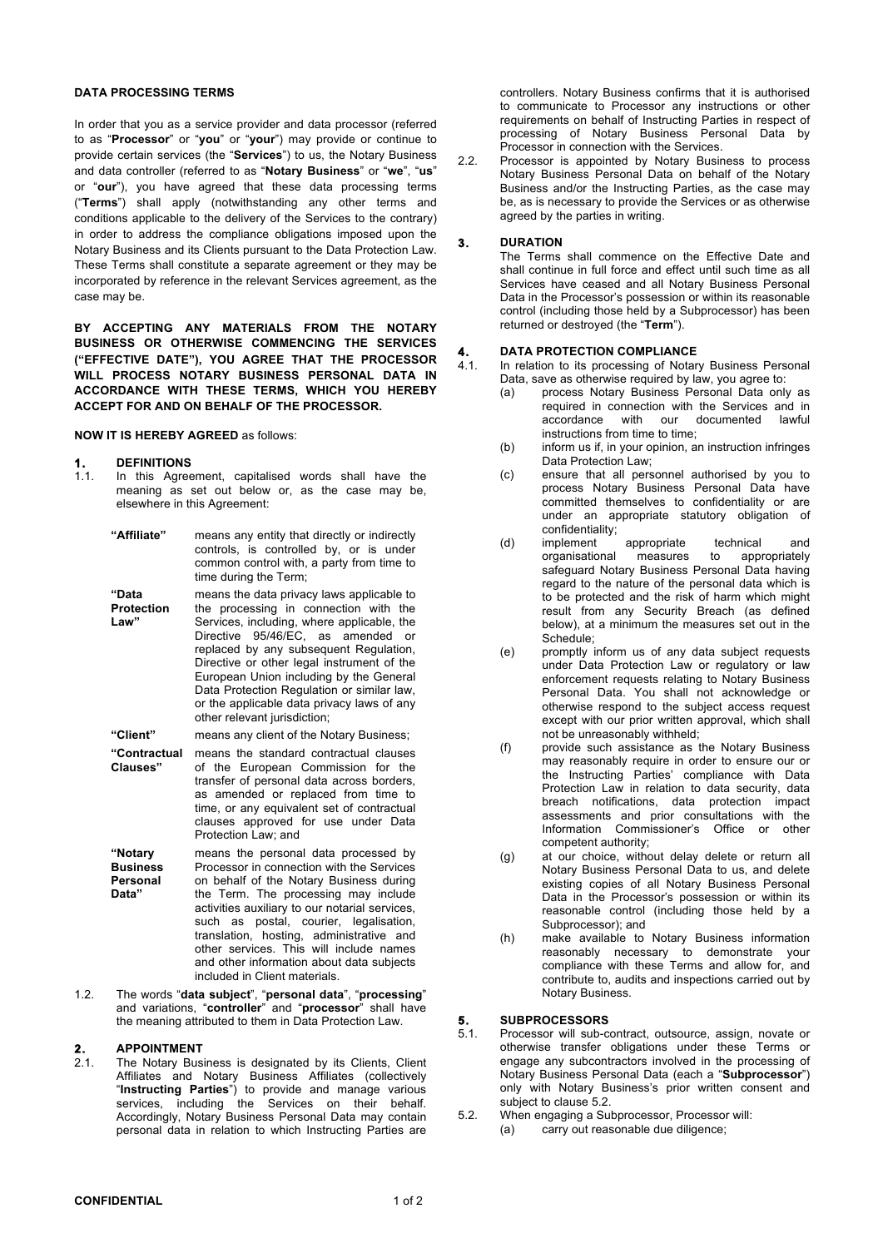#### **DATA PROCESSING TERMS**

In order that you as a service provider and data processor (referred to as "**Processor**" or "**you**" or "**your**") may provide or continue to provide certain services (the "**Services**") to us, the Notary Business and data controller (referred to as "**Notary Business**" or "**we**", "**us**" or "**our**"), you have agreed that these data processing terms ("**Terms**") shall apply (notwithstanding any other terms and conditions applicable to the delivery of the Services to the contrary) in order to address the compliance obligations imposed upon the Notary Business and its Clients pursuant to the Data Protection Law. These Terms shall constitute a separate agreement or they may be incorporated by reference in the relevant Services agreement, as the case may be.

**BY ACCEPTING ANY MATERIALS FROM THE NOTARY BUSINESS OR OTHERWISE COMMENCING THE SERVICES ("EFFECTIVE DATE"), YOU AGREE THAT THE PROCESSOR WILL PROCESS NOTARY BUSINESS PERSONAL DATA IN ACCORDANCE WITH THESE TERMS, WHICH YOU HEREBY ACCEPT FOR AND ON BEHALF OF THE PROCESSOR.**

**NOW IT IS HEREBY AGREED** as follows:

#### **1. DEFINITIONS**

1.1. In this Agreement, capitalised words shall have the meaning as set out below or, as the case may be, elsewhere in this Agreement:

| "Affiliate"                            | means any entity that directly or indirectly<br>controls, is controlled by, or is under<br>common control with, a party from time to<br>time during the Term;                                                                                                                                                                                                                                                                        |
|----------------------------------------|--------------------------------------------------------------------------------------------------------------------------------------------------------------------------------------------------------------------------------------------------------------------------------------------------------------------------------------------------------------------------------------------------------------------------------------|
| "Data<br><b>Protection</b><br>Law"     | means the data privacy laws applicable to<br>the processing in connection with the<br>Services, including, where applicable, the<br>Directive 95/46/EC, as amended or<br>replaced by any subsequent Regulation,<br>Directive or other legal instrument of the<br>European Union including by the General<br>Data Protection Regulation or similar law,<br>or the applicable data privacy laws of any<br>other relevant jurisdiction; |
| "Client"                               | means any client of the Notary Business;                                                                                                                                                                                                                                                                                                                                                                                             |
| "Contractual<br>Clauses"               | means the standard contractual clauses<br>of the European Commission for the<br>transfer of personal data across borders,<br>as amended or replaced from time to<br>time, or any equivalent set of contractual<br>clauses approved for use under Data<br>Protection Law; and                                                                                                                                                         |
| "Notary<br><b>Business</b><br>Personal | means the personal data processed by<br>Processor in connection with the Services<br>on behalf of the Notary Business during                                                                                                                                                                                                                                                                                                         |

**Data"** the Term. The processing may include activities auxiliary to our notarial services, such as postal, courier, legalisation, translation, hosting, administrative and other services. This will include names and other information about data subjects included in Client materials.

1.2. The words "**data subject**", "**personal data**", "**processing**" and variations, "**controller**" and "**processor**" shall have the meaning attributed to them in Data Protection Law.

## **2. APPOINTMENT**<br>2.1. The Notary Bus

The Notary Business is designated by its Clients, Client Affiliates and Notary Business Affiliates (collectively "**Instructing Parties**") to provide and manage various services, including the Services on their behalf. Accordingly, Notary Business Personal Data may contain personal data in relation to which Instructing Parties are

controllers. Notary Business confirms that it is authorised to communicate to Processor any instructions or other requirements on behalf of Instructing Parties in respect of processing of Notary Business Personal Data by Processor in connection with the Services.

2.2. Processor is appointed by Notary Business to process Notary Business Personal Data on behalf of the Notary Business and/or the Instructing Parties, as the case may be, as is necessary to provide the Services or as otherwise agreed by the parties in writing.

### **3. DURATION**

The Terms shall commence on the Effective Date and shall continue in full force and effect until such time as all Services have ceased and all Notary Business Personal Data in the Processor's possession or within its reasonable control (including those held by a Subprocessor) has been returned or destroyed (the "**Term**").

# **4. DATA PROTECTION COMPLIANCE**

In relation to its processing of Notary Business Personal Data, save as otherwise required by law, you agree to:

- (a) process Notary Business Personal Data only as required in connection with the Services and in accordance with our documented lawful instructions from time to time;
- (b) inform us if, in your opinion, an instruction infringes Data Protection Law;
- (c) ensure that all personnel authorised by you to process Notary Business Personal Data have committed themselves to confidentiality or are under an appropriate statutory obligation of confidentiality;<br>implement
- (d) implement appropriate technical and<br>organisational measures to appropriately organisational safeguard Notary Business Personal Data having regard to the nature of the personal data which is to be protected and the risk of harm which might result from any Security Breach (as defined below), at a minimum the measures set out in the Schedule;
- (e) promptly inform us of any data subject requests under Data Protection Law or regulatory or law enforcement requests relating to Notary Business Personal Data. You shall not acknowledge or otherwise respond to the subject access request except with our prior written approval, which shall not be unreasonably withheld;
- (f) provide such assistance as the Notary Business may reasonably require in order to ensure our or the Instructing Parties' compliance with Data Protection Law in relation to data security, data breach notifications, data protection impact assessments and prior consultations with the Information Commissioner's Office or other competent authority;
- (g) at our choice, without delay delete or return all Notary Business Personal Data to us, and delete existing copies of all Notary Business Personal Data in the Processor's possession or within its reasonable control (including those held by a Subprocessor); and
- (h) make available to Notary Business information reasonably necessary to demonstrate your compliance with these Terms and allow for, and contribute to, audits and inspections carried out by Notary Business.

## **5. SUBPROCESSORS**

- Processor will sub-contract, outsource, assign, novate or otherwise transfer obligations under these Terms or engage any subcontractors involved in the processing of Notary Business Personal Data (each a "**Subprocessor**") only with Notary Business's prior written consent and subject to clause 5.2.
- 5.2. When engaging a Subprocessor, Processor will: (a) carry out reasonable due diligence;